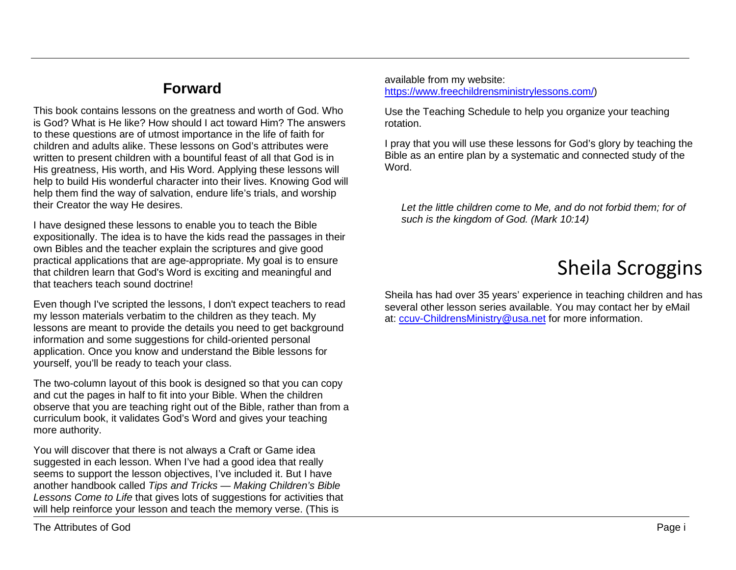## **Forward**

This book contains lessons on the greatness and worth of God. Who is God? What is He like? How should I act toward Him? The answers to these questions are of utmost importance in the life of faith for children and adults alike. These lessons on God's attributes were written to present children with a bountiful feast of all that God is in His greatness, His worth, and His Word. Applying these lessons will help to build His wonderful character into their lives. Knowing God will help them find the way of salvation, endure life's trials, and worship their Creator the way He desires.

I have designed these lessons to enable you to teach the Bible expositionally. The idea is to have the kids read the passages in their own Bibles and the teacher explain the scriptures and give good practical applications that are age-appropriate. My goal is to ensure that children learn that God's Word is exciting and meaningful and that teachers teach sound doctrine!

Even though I've scripted the lessons, I don't expect teachers to read my lesson materials verbatim to the children as they teach. My lessons are meant to provide the details you need to get background information and some suggestions for child-oriented personal application. Once you know and understand the Bible lessons for yourself, you'll be ready to teach your class.

The two-column layout of this book is designed so that you can copy and cut the pages in half to fit into your Bible. When the children observe that you are teaching right out of the Bible, rather than from a curriculum book, it validates God's Word and gives your teaching more authority.

You will discover that there is not always a Craft or Game idea suggested in each lesson. When I've had a good idea that really seems to support the lesson objectives, I've included it. But I have another handbook called *Tips and Tricks — Making Children's Bible Lessons Come to Life* that gives lots of suggestions for activities that will help reinforce your lesson and teach the memory verse. (This is

available from my website: [https://www.freechildrensministrylessons.com/\)](https://www.freechildrensministrylessons.com/)

Use the Teaching Schedule to help you organize your teaching rotation.

I pray that you will use these lessons for God's glory by teaching the Bible as an entire plan by a systematic and connected study of the Word.

*Let the little children come to Me, and do not forbid them; for of such is the kingdom of God. (Mark 10:14)*

# Sheila Scroggins

Sheila has had over 35 years' experience in teaching children and has several other lesson series available. You may contact her by eMail at: [ccuv-ChildrensMinistry@usa.net](mailto:ccuv-ChildrensMinistry@usa.net) for more information.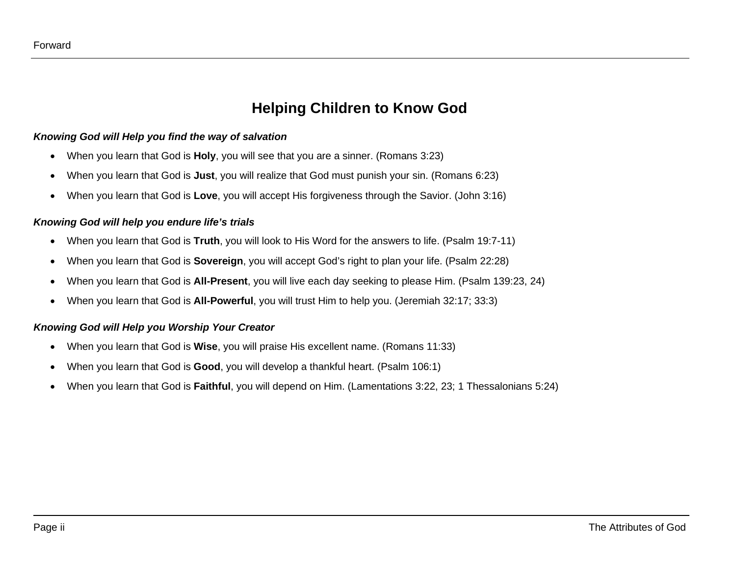### **Helping Children to Know God**

#### *Knowing God will Help you find the way of salvation*

- When you learn that God is **Holy**, you will see that you are a sinner. (Romans 3:23)
- When you learn that God is **Just**, you will realize that God must punish your sin. (Romans 6:23)
- When you learn that God is **Love**, you will accept His forgiveness through the Savior. (John 3:16)

#### *Knowing God will help you endure life's trials*

- When you learn that God is **Truth**, you will look to His Word for the answers to life. (Psalm 19:7-11)
- When you learn that God is **Sovereign**, you will accept God's right to plan your life. (Psalm 22:28)
- When you learn that God is **All-Present**, you will live each day seeking to please Him. (Psalm 139:23, 24)
- When you learn that God is **All-Powerful**, you will trust Him to help you. (Jeremiah 32:17; 33:3)

#### *Knowing God will Help you Worship Your Creator*

- When you learn that God is **Wise**, you will praise His excellent name. (Romans 11:33)
- When you learn that God is **Good**, you will develop a thankful heart. (Psalm 106:1)
- When you learn that God is **Faithful**, you will depend on Him. (Lamentations 3:22, 23; 1 Thessalonians 5:24)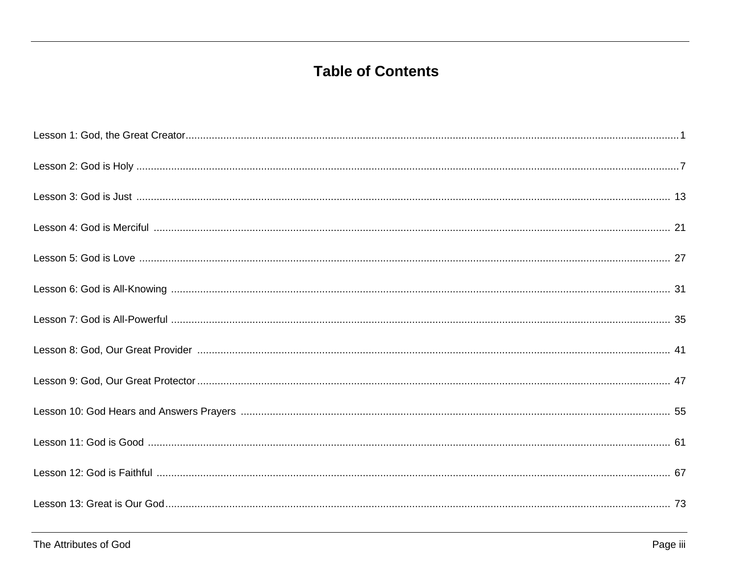## **Table of Contents**